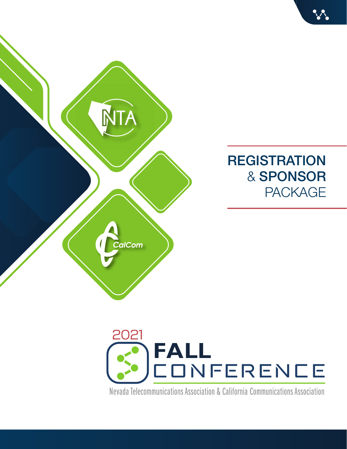





Nevada Telecommunications Association & California Communications Association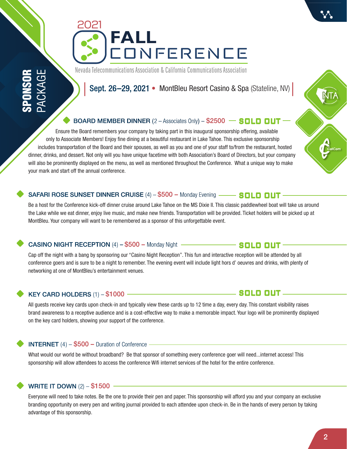# Nevada Telecommunications Association & California Communications Association

# BOARD MEMBER DINNER (2 – Associates Only) – \$2500 **– SOLD OUT**

 Ensure the Board remembers your company by taking part in this inaugural sponsorship offering, available only to Associate Members! Enjoy fine dining at a beautiful restaurant in Lake Tahoe. This exclusive sponsorship includes transportation of the Board and their spouses, as well as you and one of your staff to/from the restaurant, hosted dinner, drinks, and dessert. Not only will you have unique facetime with both Association's Board of Directors, but your company will also be prominently displayed on the menu, as well as mentioned throughout the Conference. What a unique way to make your mark and start off the annual conference.

# SAFARI ROSE SUNSET DINNER CRUISE (4) – \$500 – Monday Evening – SOLD OUT

Be a host for the Conference kick-off dinner cruise around Lake Tahoe on the MS Dixie II. This classic paddlewheel boat will take us around the Lake while we eat dinner, enjoy live music, and make new friends. Transportation will be provided. Ticket holders will be picked up at MontBleu. Your company will want to be remembered as a sponsor of this unforgettable event.

# **CASINO NIGHT RECEPTION (4) –**  $$500$  **– Monday Night** –

Cap off the night with a bang by sponsoring our "Casino Night Reception". This fun and interactive reception will be attended by all conference goers and is sure to be a night to remember. The evening event will include light hors d' oeuvres and drinks, with plenty of networking at one of MontBleu's entertainment venues.

# KEY CARD HOLDERS  $(1) - $1000$  —

All guests receive key cards upon check-in and typically view these cards up to 12 time a day, every day. This constant visibility raises brand awareness to a receptive audience and is a cost-effective way to make a memorable impact. Your logo will be prominently displayed on the key card holders, showing your support of the conference.

# **INTERNET** (4)  $-$  \$500  $-$  Duration of Conference  $-$

What would our world be without broadband? Be that sponsor of something every conference goer will need...internet access! This sponsorship will allow attendees to access the conference Wifi internet services of the hotel for the entire conference.

# WRITE IT DOWN (2) – \$1500

Everyone will need to take notes. Be the one to provide their pen and paper. This sponsorship will afford you and your company an exclusive branding opportunity on every pen and writing journal provided to each attendee upon check-in. Be in the hands of every person by taking advantage of this sponsorship.



# —— SOLD OUT <sub>–</sub>

# **SOLD OUT**

# $\mathbf{N}\mathbf{L}$

Sept. 26–29, 2021 • MontBleu Resort Casino & Spa (Stateline, NV)



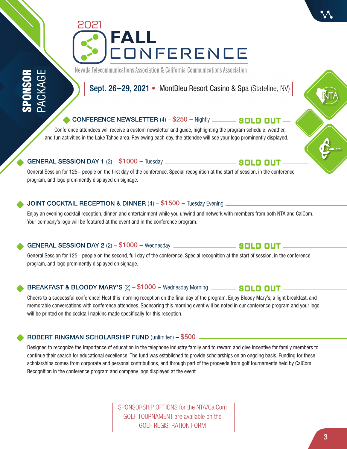SPONSOR PACKAGE Nevada Telecommunications Association & California Communications Association

Sept. 26–29, 2021 • MontBleu Resort Casino & Spa (Stateline, NV)

# **CONFERENCE NEWSLETTER** (4) – \$250 – Nightly **SOLD OUT**

 Conference attendees will receive a custom newsletter and guide, highlighting the program schedule, weather, and fun activities in the Lake Tahoe area. Reviewing each day, the attendee will see your logo prominently displayed.

### **GENERAL SESSION DAY 1 (2) - \$1000 - Tuesday \_\_\_\_\_\_\_\_**

General Session for 125+ people on the first day of the conference. Special recognition at the start of session, in the conference program, and logo prominently displayed on signage.

# JOINT COCKTAIL RECEPTION & DINNER (4) - \$1500 - Tuesday Evening

Enjoy an evening cocktail reception, dinner, and entertainment while you unwind and network with members from both NTA and CalCom. Your company's logo will be featured at the event and in the conference program.

# GENERAL SESSION DAY 2 (2) - \$1000 - Wednesday \_\_\_\_\_\_\_\_

General Session for 125+ people on the second, full day of the conference. Special recognition at the start of session, in the conference program, and logo prominently displayed on signage.

# BREAKFAST & BLOODY MARY'S (2) - \$1000 - Wednesday Morning **COLD DUT**

Cheers to a successful conference! Host this morning reception on the final day of the program. Enjoy Bloody Mary's, a light breakfast, and memorable conversations with conference attendees. Sponsoring this morning event will be noted in our conference program and your logo will be printed on the cocktail napkins made specifically for this reception.

# ROBERT RINGMAN SCHOLARSHIP FUND (unlimited) – \$500

Designed to recognize the importance of education in the telephone industry family and to reward and give incentive for family members to continue their search for educational excellence. The fund was established to provide scholarships on an ongoing basis. Funding for these scholarships comes from corporate and personal contributions, and through part of the proceeds from golf tournaments held by CalCom. Recognition in the conference program and company logo displayed at the event.

> SPONSORSHIP OPTIONS for the NTA/CalCom GOLF TOURNAMENT are available on the GOLF REGISTRATION FORM

 $\mathbf{N}\mathbf{L}$ 

# \_\_\_\_\_\_ SOLD OUT \_

**SOLD OUT**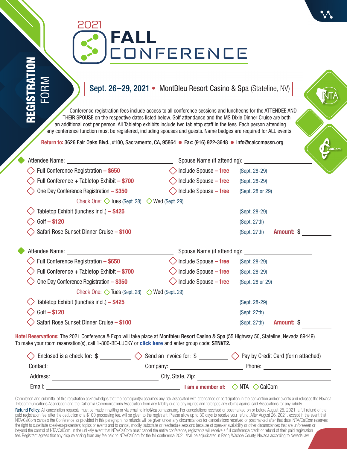|   | Ĩ. |
|---|----|
| ۴ |    |
|   |    |

# **FALL CONFERENCE** 2021

# Sept. 26–29, 2021 • MontBleu Resort Casino & Spa (Stateline, NV)

 Conference registration fees include access to all conference sessions and luncheons for the ATTENDEE AND THEIR SPOUSE on the respective dates listed below. Golf attendance and the MS Dixie Dinner Cruise are both an additional cost per person. All Tabletop exhibits include two tabletop staff in the fees. Each person attending any conference function must be registered, including spouses and guests. Name badges are required for ALL events.

Return to: 3626 Fair Oaks Blvd., #100, Sacramento, CA, 95864 **Fax: (916) 922-3648 · info@calcomassn.org** 

| Attendee Name:                                                  | Spouse Name (if attending): |                  | v          |
|-----------------------------------------------------------------|-----------------------------|------------------|------------|
| Full Conference Registration - \$650                            | Include Spouse - free       | (Sept. 28-29)    |            |
| Full Conference + Tabletop Exhibit - \$700                      | Include Spouse - free       | (Sept. 28-29)    |            |
| One Day Conference Registration - \$350                         | Include Spouse - free       | (Sept. 28 or 29) |            |
| Check One: $\Diamond$ Tues (Sept. 28)                           | $\Diamond$ Wed (Sept. 29)   |                  |            |
| Tabletop Exhibit (lunches incl.) - \$425                        |                             | (Sept. 28-29)    |            |
| $Golf - $120$                                                   |                             | (Sept. 27th)     |            |
| Safari Rose Sunset Dinner Cruise - \$100                        |                             | (Sept. 27th)     | Amount: \$ |
|                                                                 |                             |                  |            |
| Attendee Name:                                                  |                             |                  |            |
| Full Conference Registration - \$650                            | Include Spouse - free       | (Sept. 28-29)    |            |
| Full Conference + Tabletop Exhibit - \$700                      | Include Spouse - free       | (Sept. 28-29)    |            |
| One Day Conference Registration - \$350                         | Include Spouse - free       | (Sept. 28 or 29) |            |
| Check One: $\Diamond$ Tues (Sept. 28) $\Diamond$ Wed (Sept. 29) |                             |                  |            |
| Tabletop Exhibit (lunches incl.) - \$425                        |                             | (Sept. 28-29)    |            |
| $Golf - $120$                                                   |                             | (Sept. 27th)     |            |

**Hotel Reservations:** The 2021 Conference & Expo will take place at Montbleu Resort Casino & Spa (55 Highway 50, Stateline, Nevada 89449). To make your room reservation(s), call 1-800-BE-LUCKY or click here and enter group code: **STNVT2.**

| Enclosed is a check for: \$ | Send an invoice for: \$ | > Pay by Credit Card (form attached)               |
|-----------------------------|-------------------------|----------------------------------------------------|
| Contact:                    | Company:                | Phone:                                             |
| Address:                    | City, State, Zip:       |                                                    |
| Email:                      |                         | I am a member of: $\Diamond$ NTA $\Diamond$ CalCom |

Completion and submittal of this registration acknowledges that the participant(s) assumes any risk associated with attendance or participation in the convention and/or events and releases the Nevada Telecommunications Association and the California Communications Association from any liability due to any injuries and foregoes any claims against said Associations for any liability. Refund Policy: All cancellation requests must be made in writing or via email to info@calcomassn.org. For cancellations received or postmarked on or before August 25, 2021, a full refund of the paid registration fee, after the deduction of a \$100 processing fee, will be given to the registrant. Please allow up to 30 days to receive your refund. After August 26, 2021, except in the event that

NTA/CalCom cancels the Conference as provided in this paragraph, no refunds will be given under any circumstances for cancellations received or postmarked after that date. NTA/CalCom reserves the right to substitute speakers/presenters, topics or events and to cancel, modify, substitute or reschedule sessions because of speaker availability or other circumstances that are unforeseen or beyond the control of NTA/CalCom. In the unlikely event that NTA/CalCom must cancel the entire conference, registrants will receive a full conference credit or refund of their paid registration fee. Registrant agrees that any dispute arising from any fee paid to NTA/CalCom for the fall conference 2021 shall be adjudicated in Reno, Washoe County, Nevada according to Nevada law.

NТ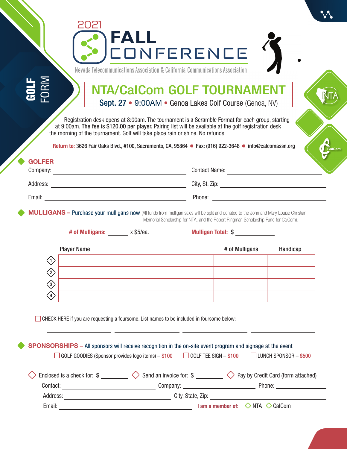|                                                                                                                                                                                                   | Sept. 27 • 9:00AM • Genoa Lakes Golf Course (Genoa, NV)                                         | <b>NTA/CalCom GOLF TOURNAMENT</b>                                                  |                                                                                                                                               |
|---------------------------------------------------------------------------------------------------------------------------------------------------------------------------------------------------|-------------------------------------------------------------------------------------------------|------------------------------------------------------------------------------------|-----------------------------------------------------------------------------------------------------------------------------------------------|
| at 9:00am. The fee is \$120.00 per player. Pairing list will be available at the golf registration desk<br>the morning of the tournament. Golf will take place rain or shine. No refunds.         | Registration desk opens at 8:00am. The tournament is a Scramble Format for each group, starting |                                                                                    |                                                                                                                                               |
| Return to: 3626 Fair Oaks Blvd., #100, Sacramento, CA, 95864 • Fax: (916) 922-3648 • info@calcomassn.org<br><b>GOLFER</b>                                                                         |                                                                                                 |                                                                                    |                                                                                                                                               |
| Company: <u>company:</u>                                                                                                                                                                          |                                                                                                 | Contact Name: University of the Contact Name:                                      |                                                                                                                                               |
|                                                                                                                                                                                                   |                                                                                                 |                                                                                    |                                                                                                                                               |
|                                                                                                                                                                                                   |                                                                                                 |                                                                                    |                                                                                                                                               |
|                                                                                                                                                                                                   |                                                                                                 | Memorial Scholarship for NTA, and the Robert Ringman Scholarship Fund for CalCom). | <b>MULLIGANS - Purchase your mulligans now</b> (All funds from mulligan sales will be split and donated to the John and Mary Louise Christian |
| # of Mulligans: x \$5/ea.                                                                                                                                                                         |                                                                                                 | Mulligan Total: \$                                                                 |                                                                                                                                               |
| <b>Player Name</b>                                                                                                                                                                                |                                                                                                 | # of Mulligans                                                                     | Handicap                                                                                                                                      |
| $\langle 1 \rangle$                                                                                                                                                                               |                                                                                                 |                                                                                    |                                                                                                                                               |
| $\left\langle \!\! \left. \right\rangle \!\!\! \left. \right\rangle \!\!\!$                                                                                                                       |                                                                                                 |                                                                                    |                                                                                                                                               |
| $\left\langle 3 \right\rangle$<br>$\langle 4 \rangle$                                                                                                                                             |                                                                                                 |                                                                                    |                                                                                                                                               |
| CHECK HERE if you are requesting a foursome. List names to be included in foursome below:                                                                                                         |                                                                                                 |                                                                                    |                                                                                                                                               |
| <b>SPONSORSHIPS</b> – All sponsors will receive recognition in the on-site event program and signage at the event<br>□ GOLF GOODIES (Sponsor provides logo items) – \$100 □ GOLF TEE SIGN – \$100 |                                                                                                 |                                                                                    | $\Box$ LUNCH SPONSOR - \$500                                                                                                                  |
| Enclosed is a check for: $\frac{1}{2}$ Send an invoice for: $\frac{1}{2}$ Pay by Credit Card (form attached)                                                                                      |                                                                                                 |                                                                                    |                                                                                                                                               |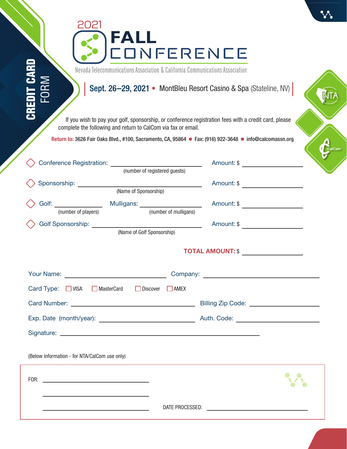| 202<br>FALL<br><b>CONFERENCE</b><br>Nevada Telecommunications Association & California Communications Association                                                                          |                                    |
|--------------------------------------------------------------------------------------------------------------------------------------------------------------------------------------------|------------------------------------|
| FORM<br>Sept. 26-29, 2021 • MontBleu Resort Casino & Spa (Stateline, NV)<br>CREDI<br>If you wish to pay your golf, sponsorship, or conference registration fees with a credit card, please |                                    |
| complete the following and return to CalCom via fax or email.                                                                                                                              |                                    |
| Return to: 3626 Fair Oaks Blvd., #100, Sacramento, CA, 95864 • Fax: (916) 922-3648 • info@calcomassn.org                                                                                   | CalCom                             |
|                                                                                                                                                                                            |                                    |
|                                                                                                                                                                                            |                                    |
| Golf: $\underbrace{\hspace{2cm}}$ Mulligans: $\underbrace{\hspace{2cm}}$ Mulligans: $\underbrace{\hspace{2cm}}$ (when $f$ williams)                                                        | Amount: \$ _______________________ |
| (number of players)<br>(number of mulligans)<br>(Name of Golf Sponsorship)                                                                                                                 |                                    |
|                                                                                                                                                                                            | TOTAL AMOUNT: \$                   |
|                                                                                                                                                                                            |                                    |
| Card Type: $\Box$ VISA $\Box$ MasterCard $\Box$ Discover<br>$\Box$ AMEX                                                                                                                    |                                    |
|                                                                                                                                                                                            |                                    |
|                                                                                                                                                                                            |                                    |
|                                                                                                                                                                                            |                                    |
| (Below information - for NTA/CalCom use only)                                                                                                                                              |                                    |
|                                                                                                                                                                                            |                                    |
| <u> Alexandria de la contrada de la contrada de la contrada de la contrada de la contrada de la contrada de la c</u>                                                                       |                                    |